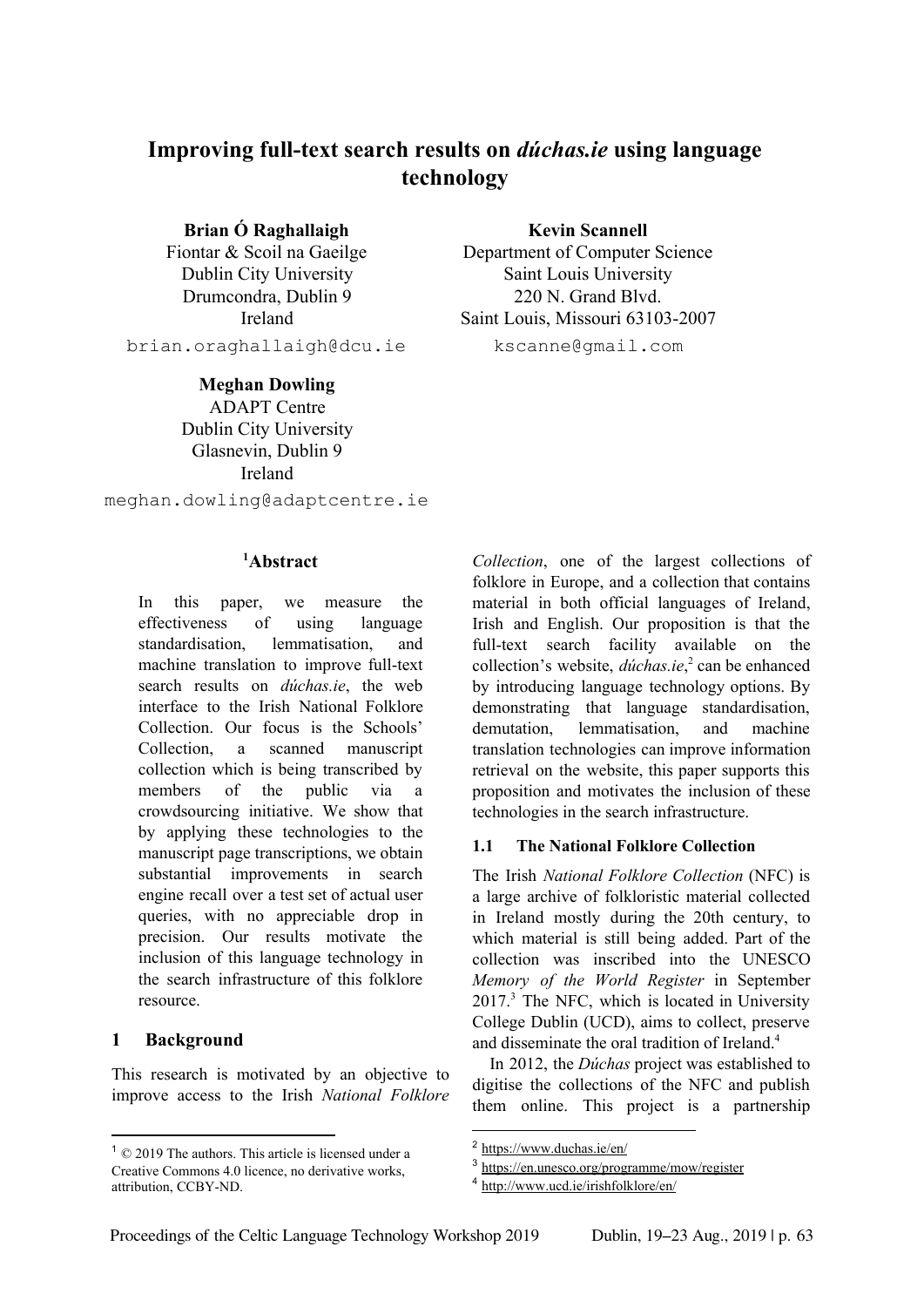# **Improving full-text search results on** *dúchas.ie* **using language technology**

**Brian Ó Raghallaigh**

Fiontar & Scoil na Gaeilge Dublin City University Drumcondra, Dublin 9 Ireland

brian.oraghallaigh@dcu.ie

### **Meghan Dowling**

ADAPT Centre Dublin City University Glasnevin, Dublin 9 Ireland

meghan.dowling@adaptcentre.ie

## **Abstract <sup>1</sup>**

In this paper, we measure the effectiveness of using language standardisation, lemmatisation, and machine translation to improve full-text search results on *dúchas.ie*, the web interface to the Irish National Folklore Collection. Our focus is the Schools' Collection, a scanned manuscript collection which is being transcribed by members of the public via a crowdsourcing initiative. We show that by applying these technologies to the manuscript page transcriptions, we obtain substantial improvements in search engine recall over a test set of actual user queries, with no appreciable drop in precision. Our results motivate the inclusion of this language technology in the search infrastructure of this folklore resource.

# **1 Background**

This research is motivated by an objective to improve access to the Irish *National Folklore*

**Kevin Scannell** Department of Computer Science Saint Louis University 220 N. Grand Blvd. Saint Louis, Missouri 63103-2007 kscanne@gmail.com

*Collection*, one of the largest collections of folklore in Europe, and a collection that contains material in both official languages of Ireland, Irish and English. Our proposition is that the full-text search facility available on the collection's website, *dúchas.ie*,<sup>2</sup> can be enhanced by introducing language technology options. By demonstrating that language standardisation, demutation, lemmatisation, and machine translation technologies can improve information retrieval on the website, this paper supports this proposition and motivates the inclusion of these technologies in the search infrastructure.

### **1.1 The National Folklore Collection**

The Irish *National Folklore Collection* (NFC) is a large archive of folkloristic material collected in Ireland mostly during the 20th century, to which material is still being added. Part of the collection was inscribed into the UNESCO *Memory of the World Register* in September  $2017<sup>3</sup>$  The NFC, which is located in University College Dublin (UCD), aims to collect, preserve and disseminate the oral tradition of Ireland. 4

In 2012, the *Dúchas* project was established to digitise the collections of the NFC and publish them online. This project is a partnership

 $1 \odot 2019$  The authors. This article is licensed under a Creative Commons 4.0 licence, no derivative works, attribution, CCBY-ND.

<sup>2</sup> https://www.duchas.ie/en/

https://en.unesco.org/programme/mow/register

<sup>4</sup> http://www.ucd.ie/irishfolklore/en/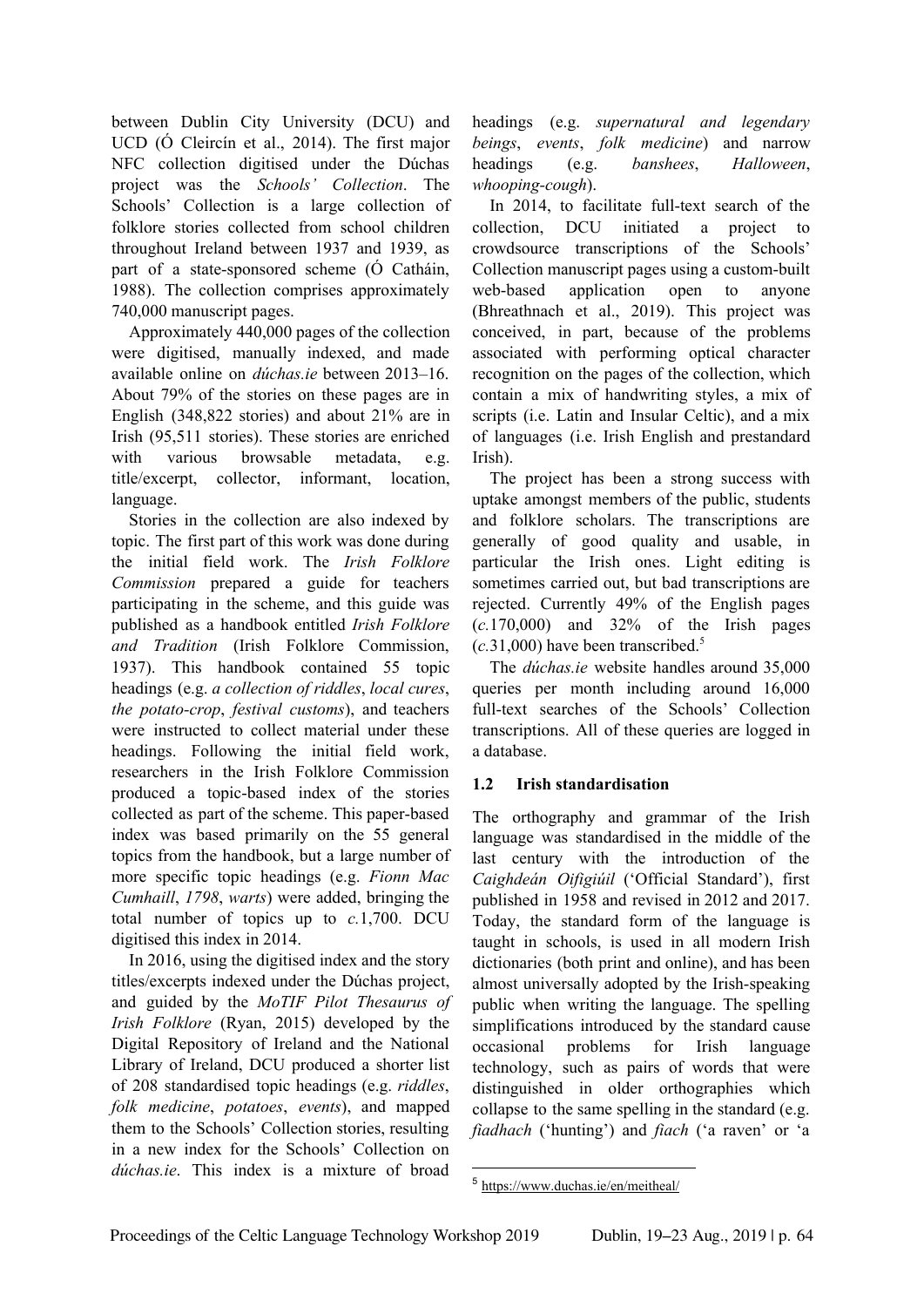between Dublin City University (DCU) and UCD (Ó Cleircín et al., 2014). The first major NFC collection digitised under the Dúchas project was the *Schools' Collection*. The Schools' Collection is a large collection of folklore stories collected from school children throughout Ireland between 1937 and 1939, as part of a state-sponsored scheme (Ó Catháin, 1988). The collection comprises approximately 740,000 manuscript pages.

Approximately 440,000 pages of the collection were digitised, manually indexed, and made available online on *dúchas.ie* between 2013–16. About 79% of the stories on these pages are in English (348,822 stories) and about 21% are in Irish (95,511 stories). These stories are enriched with various browsable metadata, e.g. title/excerpt, collector, informant, location, language.

Stories in the collection are also indexed by topic. The first part of this work was done during the initial field work. The *Irish Folklore Commission* prepared a guide for teachers participating in the scheme, and this guide was published as a handbook entitled *Irish Folklore and Tradition* (Irish Folklore Commission, 1937). This handbook contained 55 topic headings (e.g. *a collection of riddles*, *local cures*, *the potato-crop*, *festival customs*), and teachers were instructed to collect material under these headings. Following the initial field work, researchers in the Irish Folklore Commission produced a topic-based index of the stories collected as part of the scheme. This paper-based index was based primarily on the 55 general topics from the handbook, but a large number of more specific topic headings (e.g. *Fionn Mac Cumhaill*, *1798*, *warts*) were added, bringing the total number of topics up to *c.*1,700. DCU digitised this index in 2014.

In 2016, using the digitised index and the story titles/excerpts indexed under the Dúchas project, and guided by the *MoTIF Pilot Thesaurus of Irish Folklore* (Ryan, 2015) developed by the Digital Repository of Ireland and the National Library of Ireland, DCU produced a shorter list of 208 standardised topic headings (e.g. *riddles*, *folk medicine*, *potatoes*, *events*), and mapped them to the Schools' Collection stories, resulting in a new index for the Schools' Collection on *dúchas.ie*. This index is a mixture of broad

headings (e.g. *supernatural and legendary beings*, *events*, *folk medicine*) and narrow headings (e.g. *banshees*, *Halloween*, *whooping-cough*).

In 2014, to facilitate full-text search of the collection, DCU initiated a project to crowdsource transcriptions of the Schools' Collection manuscript pages using a custom-built web-based application open to anyone (Bhreathnach et al., 2019). This project was conceived, in part, because of the problems associated with performing optical character recognition on the pages of the collection, which contain a mix of handwriting styles, a mix of scripts (i.e. Latin and Insular Celtic), and a mix of languages (i.e. Irish English and prestandard Irish).

The project has been a strong success with uptake amongst members of the public, students and folklore scholars. The transcriptions are generally of good quality and usable, in particular the Irish ones. Light editing is sometimes carried out, but bad transcriptions are rejected. Currently 49% of the English pages (*c.*170,000) and 32% of the Irish pages  $(c.31,000)$  have been transcribed.<sup>5</sup>

The *dúchas.ie* website handles around 35,000 queries per month including around 16,000 full-text searches of the Schools' Collection transcriptions. All of these queries are logged in a database.

# **1.2 Irish standardisation**

The orthography and grammar of the Irish language was standardised in the middle of the last century with the introduction of the *Caighdeán Oifigiúil* ('Official Standard'), first published in 1958 and revised in 2012 and 2017. Today, the standard form of the language is taught in schools, is used in all modern Irish dictionaries (both print and online), and has been almost universally adopted by the Irish-speaking public when writing the language. The spelling simplifications introduced by the standard cause occasional problems for Irish language technology, such as pairs of words that were distinguished in older orthographies which collapse to the same spelling in the standard (e.g. *fiadhach* ('hunting') and *fiach* ('a raven' or 'a

<sup>5</sup> https://www.duchas.ie/en/meitheal/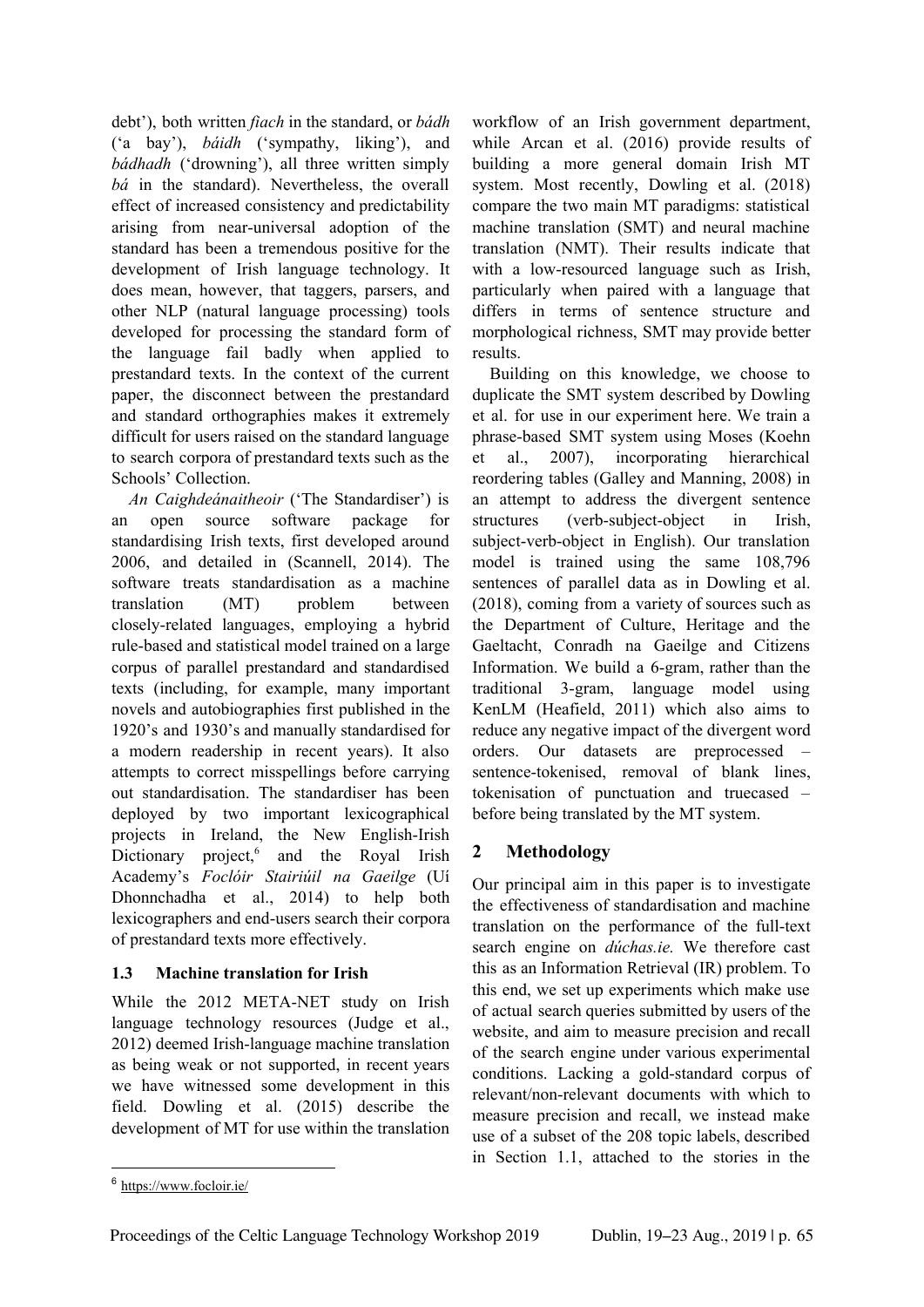debt'), both written *fiach* in the standard, or *bádh* ('a bay'), *báidh* ('sympathy, liking'), and *bádhadh* ('drowning'), all three written simply *bá* in the standard). Nevertheless, the overall effect of increased consistency and predictability arising from near-universal adoption of the standard has been a tremendous positive for the development of Irish language technology. It does mean, however, that taggers, parsers, and other NLP (natural language processing) tools developed for processing the standard form of the language fail badly when applied to prestandard texts. In the context of the current paper, the disconnect between the prestandard and standard orthographies makes it extremely difficult for users raised on the standard language to search corpora of prestandard texts such as the Schools' Collection.

*An Caighdeánaitheoir* ('The Standardiser') is an open source software package for standardising Irish texts, first developed around 2006, and detailed in (Scannell, 2014). The software treats standardisation as a machine translation (MT) problem between closely-related languages, employing a hybrid rule-based and statistical model trained on a large corpus of parallel prestandard and standardised texts (including, for example, many important novels and autobiographies first published in the 1920's and 1930's and manually standardised for a modern readership in recent years). It also attempts to correct misspellings before carrying out standardisation. The standardiser has been deployed by two important lexicographical projects in Ireland, the New English-Irish Dictionary project,<sup>6</sup> and the Royal Irish Academy's *Foclóir Stairiúil na Gaeilge* (Uí Dhonnchadha et al., 2014) to help both lexicographers and end-users search their corpora of prestandard texts more effectively.

### **1.3 Machine translation for Irish**

While the 2012 META-NET study on Irish language technology resources (Judge et al., 2012) deemed Irish-language machine translation as being weak or not supported, in recent years we have witnessed some development in this field. Dowling et al. (2015) describe the development of MT for use within the translation

workflow of an Irish government department, while Arcan et al. (2016) provide results of building a more general domain Irish MT system. Most recently, Dowling et al. (2018) compare the two main MT paradigms: statistical machine translation (SMT) and neural machine translation (NMT). Their results indicate that with a low-resourced language such as Irish, particularly when paired with a language that differs in terms of sentence structure and morphological richness, SMT may provide better results.

Building on this knowledge, we choose to duplicate the SMT system described by Dowling et al. for use in our experiment here. We train a phrase-based SMT system using Moses (Koehn et al., 2007), incorporating hierarchical reordering tables (Galley and Manning, 2008) in an attempt to address the divergent sentence structures (verb-subject-object in Irish, subject-verb-object in English). Our translation model is trained using the same 108,796 sentences of parallel data as in Dowling et al. (2018), coming from a variety of sources such as the Department of Culture, Heritage and the Gaeltacht, Conradh na Gaeilge and Citizens Information. We build a 6-gram, rather than the traditional 3-gram, language model using KenLM (Heafield, 2011) which also aims to reduce any negative impact of the divergent word orders. Our datasets are preprocessed – sentence-tokenised, removal of blank lines, tokenisation of punctuation and truecased – before being translated by the MT system.

### **2 Methodology**

Our principal aim in this paper is to investigate the effectiveness of standardisation and machine translation on the performance of the full-text search engine on *dúchas.ie.* We therefore cast this as an Information Retrieval (IR) problem. To this end, we set up experiments which make use of actual search queries submitted by users of the website, and aim to measure precision and recall of the search engine under various experimental conditions. Lacking a gold-standard corpus of relevant/non-relevant documents with which to measure precision and recall, we instead make use of a subset of the 208 topic labels, described in Section 1.1, attached to the stories in the

<sup>6</sup> https://www.focloir.ie/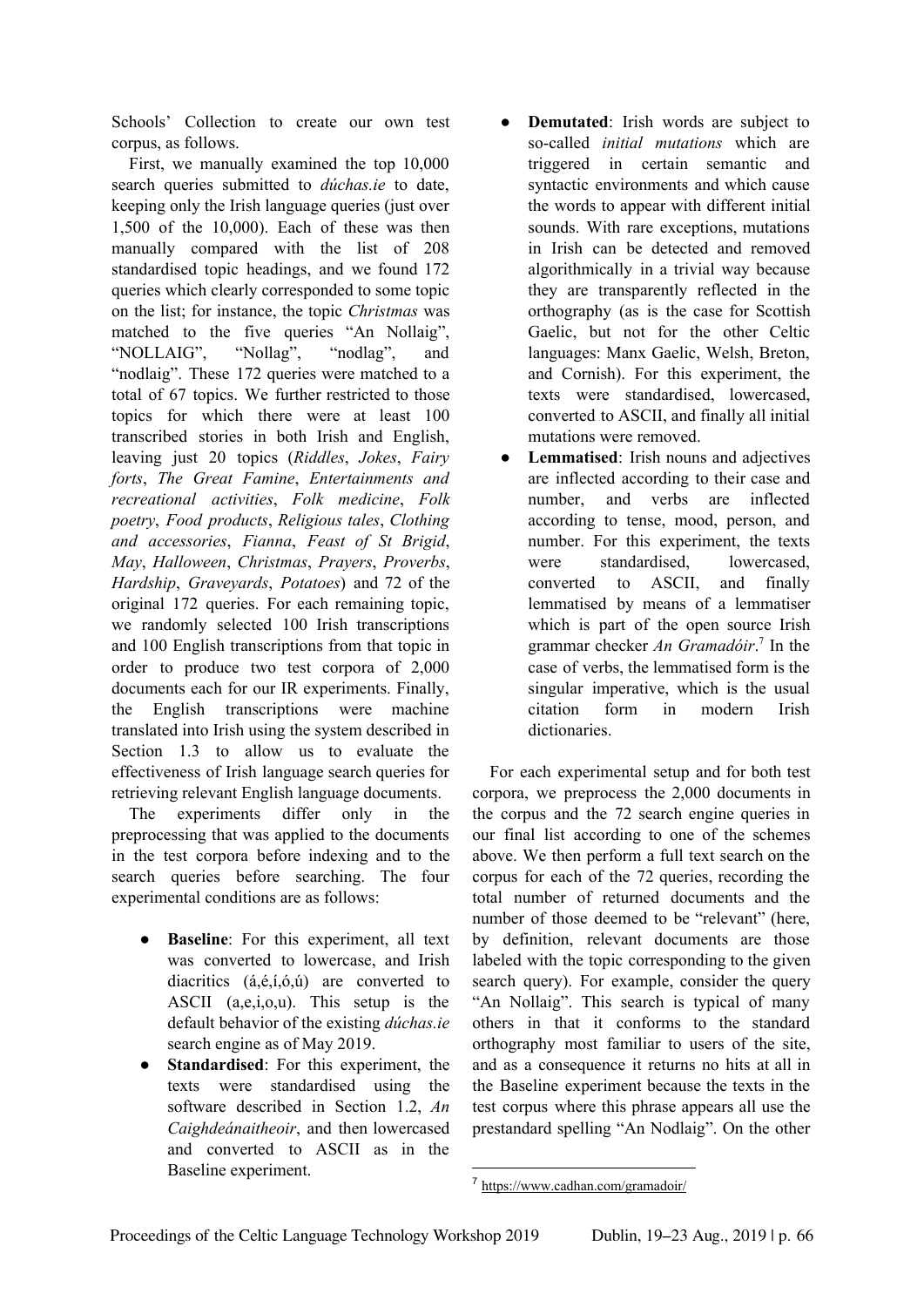Schools' Collection to create our own test corpus, as follows.

First, we manually examined the top 10,000 search queries submitted to *dúchas.ie* to date, keeping only the Irish language queries (just over 1,500 of the 10,000). Each of these was then manually compared with the list of 208 standardised topic headings, and we found 172 queries which clearly corresponded to some topic on the list; for instance, the topic *Christmas* was matched to the five queries "An Nollaig", "NOLLAIG", "Nollag", "nodlag", and "nodlaig". These 172 queries were matched to a total of 67 topics. We further restricted to those topics for which there were at least 100 transcribed stories in both Irish and English, leaving just 20 topics (*Riddles*, *Jokes*, *Fairy forts*, *The Great Famine*, *Entertainments and recreational activities*, *Folk medicine*, *Folk poetry*, *Food products*, *Religious tales*, *Clothing and accessories*, *Fianna*, *Feast of St Brigid*, *May*, *Halloween*, *Christmas*, *Prayers*, *Proverbs*, *Hardship*, *Graveyards*, *Potatoes*) and 72 of the original 172 queries. For each remaining topic, we randomly selected 100 Irish transcriptions and 100 English transcriptions from that topic in order to produce two test corpora of 2,000 documents each for our IR experiments. Finally, the English transcriptions were machine translated into Irish using the system described in Section 1.3 to allow us to evaluate the effectiveness of Irish language search queries for retrieving relevant English language documents.

The experiments differ only in the preprocessing that was applied to the documents in the test corpora before indexing and to the search queries before searching. The four experimental conditions are as follows:

- **Baseline**: For this experiment, all text was converted to lowercase, and Irish diacritics (á,é,í,ó,ú) are converted to ASCII (a,e,i,o,u). This setup is the default behavior of the existing *dúchas.ie* search engine as of May 2019.
- **Standardised**: For this experiment, the texts were standardised using the software described in Section 1.2, *An Caighdeánaitheoir*, and then lowercased and converted to ASCII as in the Baseline experiment.
- **Demutated**: Irish words are subject to so-called *initial mutations* which are triggered in certain semantic and syntactic environments and which cause the words to appear with different initial sounds. With rare exceptions, mutations in Irish can be detected and removed algorithmically in a trivial way because they are transparently reflected in the orthography (as is the case for Scottish Gaelic, but not for the other Celtic languages: Manx Gaelic, Welsh, Breton, and Cornish). For this experiment, the texts were standardised, lowercased, converted to ASCII, and finally all initial mutations were removed.
- **Lemmatised**: Irish nouns and adjectives are inflected according to their case and number, and verbs are inflected according to tense, mood, person, and number. For this experiment, the texts were standardised, lowercased, converted to ASCII, and finally lemmatised by means of a lemmatiser which is part of the open source Irish grammar checker *An Gramadóir*.<sup>7</sup> In the case of verbs, the lemmatised form is the singular imperative, which is the usual citation form in modern Irish dictionaries.

For each experimental setup and for both test corpora, we preprocess the 2,000 documents in the corpus and the 72 search engine queries in our final list according to one of the schemes above. We then perform a full text search on the corpus for each of the 72 queries, recording the total number of returned documents and the number of those deemed to be "relevant" (here, by definition, relevant documents are those labeled with the topic corresponding to the given search query). For example, consider the query "An Nollaig". This search is typical of many others in that it conforms to the standard orthography most familiar to users of the site, and as a consequence it returns no hits at all in the Baseline experiment because the texts in the test corpus where this phrase appears all use the prestandard spelling "An Nodlaig". On the other

<sup>7</sup> https://www.cadhan.com/gramadoir/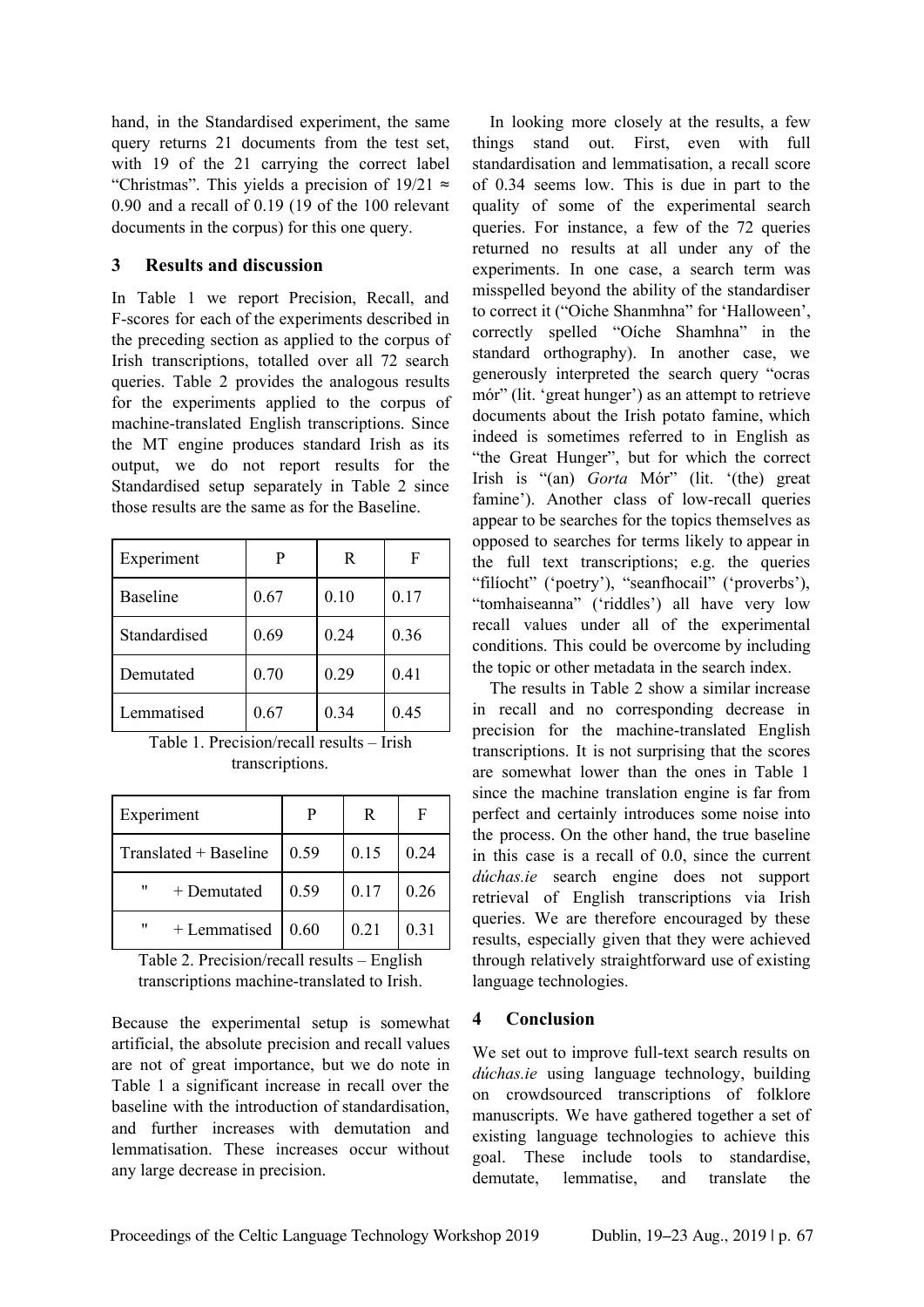hand, in the Standardised experiment, the same query returns 21 documents from the test set, with 19 of the 21 carrying the correct label "Christmas". This yields a precision of  $19/21 \approx$ 0.90 and a recall of 0.19 (19 of the 100 relevant documents in the corpus) for this one query.

#### **3 Results and discussion**

In Table 1 we report Precision, Recall, and F-scores for each of the experiments described in the preceding section as applied to the corpus of Irish transcriptions, totalled over all 72 search queries. Table 2 provides the analogous results for the experiments applied to the corpus of machine-translated English transcriptions. Since the MT engine produces standard Irish as its output, we do not report results for the Standardised setup separately in Table 2 since those results are the same as for the Baseline.

| Experiment      | P    | R    |      |
|-----------------|------|------|------|
| <b>Baseline</b> | 0.67 | 0.10 | 0.17 |
| Standardised    | 0.69 | 0.24 | 0.36 |
| Demutated       | 0.70 | 0.29 | 0.41 |
| Lemmatised      | 0.67 | 0.34 | 0.45 |

Table 1. Precision/recall results – Irish transcriptions.

| Experiment            |      | R    | F    |
|-----------------------|------|------|------|
| Translated + Baseline | 0.59 | 0.15 | 0.24 |
| "<br>+ Demutated      | 0.59 | 0.17 | 0.26 |
| "<br>+ Lemmatised     | 0.60 | 0.21 | 0.31 |

Table 2. Precision/recall results – English transcriptions machine-translated to Irish.

Because the experimental setup is somewhat artificial, the absolute precision and recall values are not of great importance, but we do note in Table 1 a significant increase in recall over the baseline with the introduction of standardisation, and further increases with demutation and lemmatisation. These increases occur without any large decrease in precision.

In looking more closely at the results, a few things stand out. First, even with full standardisation and lemmatisation, a recall score of 0.34 seems low. This is due in part to the quality of some of the experimental search queries. For instance, a few of the 72 queries returned no results at all under any of the experiments. In one case, a search term was misspelled beyond the ability of the standardiser to correct it ("Oiche Shanmhna" for 'Halloween', correctly spelled "Oíche Shamhna" in the standard orthography). In another case, we generously interpreted the search query "ocras mór" (lit. 'great hunger') as an attempt to retrieve documents about the Irish potato famine, which indeed is sometimes referred to in English as "the Great Hunger", but for which the correct Irish is "(an) *Gorta* Mór" (lit. '(the) great famine'). Another class of low-recall queries appear to be searches for the topics themselves as opposed to searches for terms likely to appear in the full text transcriptions; e.g. the queries "filíocht" ('poetry'), "seanfhocail" ('proverbs'), "tomhaiseanna" ('riddles') all have very low recall values under all of the experimental conditions. This could be overcome by including the topic or other metadata in the search index.

The results in Table 2 show a similar increase in recall and no corresponding decrease in precision for the machine-translated English transcriptions. It is not surprising that the scores are somewhat lower than the ones in Table 1 since the machine translation engine is far from perfect and certainly introduces some noise into the process. On the other hand, the true baseline in this case is a recall of 0.0, since the current *dúchas.ie* search engine does not support retrieval of English transcriptions via Irish queries. We are therefore encouraged by these results, especially given that they were achieved through relatively straightforward use of existing language technologies.

# **4 Conclusion**

We set out to improve full-text search results on *dúchas.ie* using language technology, building on crowdsourced transcriptions of folklore manuscripts. We have gathered together a set of existing language technologies to achieve this goal. These include tools to standardise, demutate, lemmatise, and translate the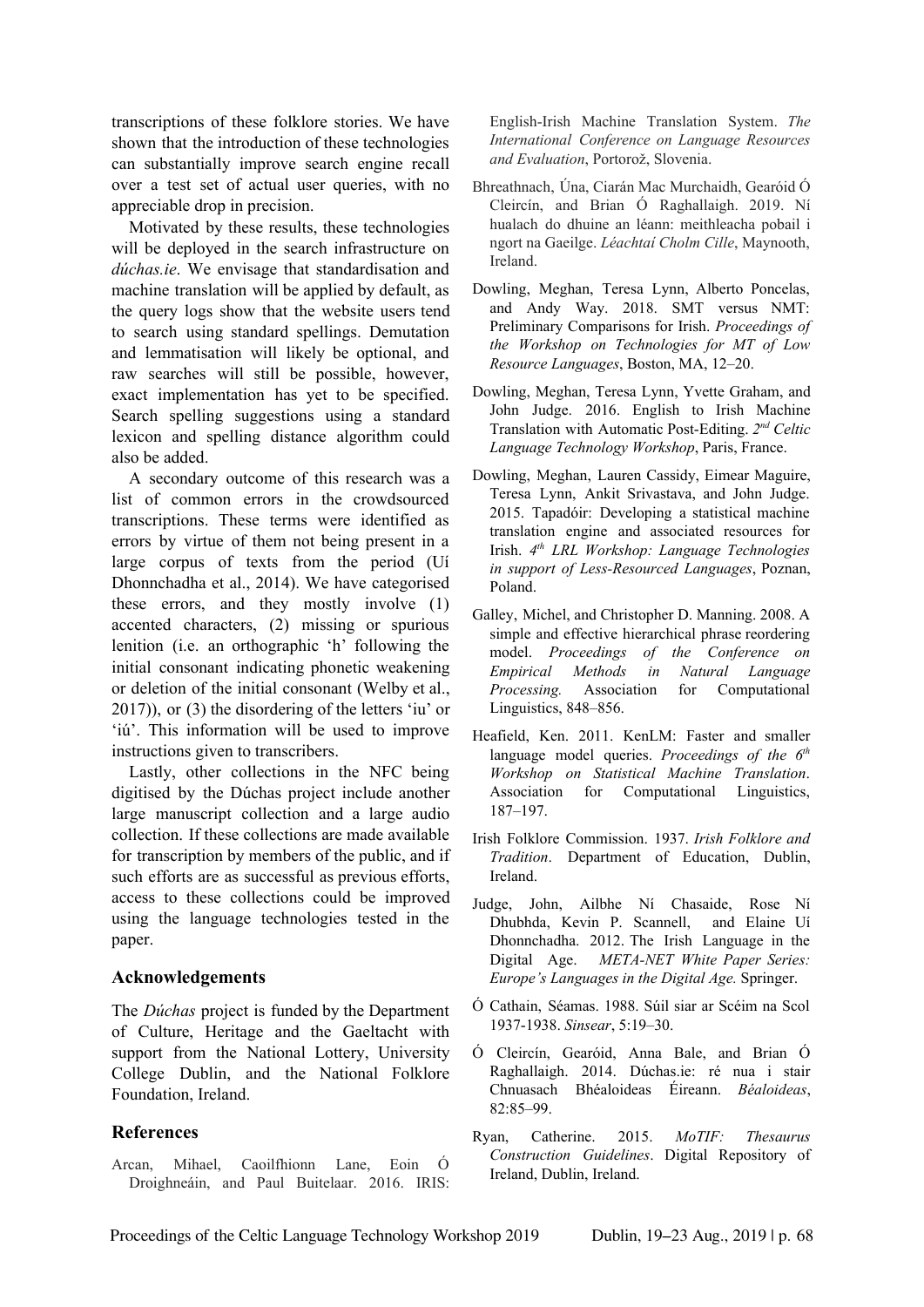transcriptions of these folklore stories. We have shown that the introduction of these technologies can substantially improve search engine recall over a test set of actual user queries, with no appreciable drop in precision.

Motivated by these results, these technologies will be deployed in the search infrastructure on *dúchas.ie*. We envisage that standardisation and machine translation will be applied by default, as the query logs show that the website users tend to search using standard spellings. Demutation and lemmatisation will likely be optional, and raw searches will still be possible, however, exact implementation has yet to be specified. Search spelling suggestions using a standard lexicon and spelling distance algorithm could also be added.

A secondary outcome of this research was a list of common errors in the crowdsourced transcriptions. These terms were identified as errors by virtue of them not being present in a large corpus of texts from the period (Uí Dhonnchadha et al., 2014). We have categorised these errors, and they mostly involve (1) accented characters, (2) missing or spurious lenition (i.e. an orthographic 'h' following the initial consonant indicating phonetic weakening or deletion of the initial consonant (Welby et al., 2017)), or (3) the disordering of the letters 'iu' or 'iú'. This information will be used to improve instructions given to transcribers.

Lastly, other collections in the NFC being digitised by the Dúchas project include another large manuscript collection and a large audio collection. If these collections are made available for transcription by members of the public, and if such efforts are as successful as previous efforts, access to these collections could be improved using the language technologies tested in the paper.

#### **Acknowledgements**

The *Dúchas* project is funded by the Department of Culture, Heritage and the Gaeltacht with support from the National Lottery, University College Dublin, and the National Folklore Foundation, Ireland.

#### **References**

Arcan, Mihael, Caoilfhionn Lane, Eoin Ó Droighneáin, and Paul Buitelaar. 2016. IRIS: English-Irish Machine Translation System. *The International Conference on Language Resources and Evaluation*, Portorož, Slovenia.

- Bhreathnach, Úna, Ciarán Mac Murchaidh, Gearóid Ó Cleircín, and Brian Ó Raghallaigh. 2019. Ní hualach do dhuine an léann: meithleacha pobail i ngort na Gaeilge. *Léachtaí Cholm Cille*, Maynooth, Ireland.
- Dowling, Meghan, Teresa Lynn, Alberto Poncelas, and Andy Way. 2018. SMT versus NMT: Preliminary Comparisons for Irish. *Proceedings of the Workshop on Technologies for MT of Low Resource Languages*, Boston, MA, 12–20.
- Dowling, Meghan, Teresa Lynn, Yvette Graham, and John Judge. 2016. English to Irish Machine Translation with Automatic Post-Editing. *2 nd Celtic Language Technology Workshop*, Paris, France.
- Dowling, Meghan, Lauren Cassidy, Eimear Maguire, Teresa Lynn, Ankit Srivastava, and John Judge. 2015. Tapadóir: Developing a statistical machine translation engine and associated resources for Irish. *4 th LRL Workshop: Language Technologies in support of Less-Resourced Languages*, Poznan, Poland.
- Galley, Michel, and Christopher D. Manning. 2008. A simple and effective hierarchical phrase reordering model. *Proceedings of the Conference on Empirical Methods in Natural Language Processing.* Association for Computational Linguistics, 848–856.
- Heafield, Ken. 2011. KenLM: Faster and smaller language model queries. *Proceedings of the 6 th Workshop on Statistical Machine Translation*. Association for Computational Linguistics, 187–197.
- Irish Folklore Commission. 1937. *Irish Folklore and Tradition*. Department of Education, Dublin, Ireland.
- Judge, John, Ailbhe Ní Chasaide, Rose Ní Dhubhda, Kevin P. Scannell, and Elaine Uí Dhonnchadha. 2012. The Irish Language in the Digital Age. *META-NET White Paper Series: Europe's Languages in the Digital Age.* Springer.
- Ó Cathain, Séamas. 1988. Súil siar ar Scéim na Scol 1937-1938. *Sinsear*, 5:19–30.
- Ó Cleircín, Gearóid, Anna Bale, and Brian Ó Raghallaigh. 2014. Dúchas.ie: ré nua i stair Chnuasach Bhéaloideas Éireann. *Béaloideas*, 82:85–99.
- Ryan, Catherine. 2015. *MoTIF: Thesaurus Construction Guidelines*. Digital Repository of Ireland, Dublin, Ireland.